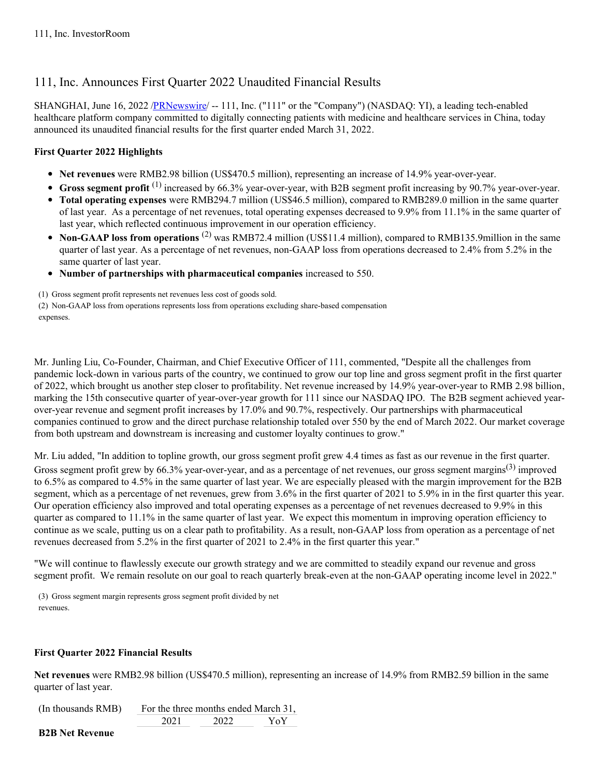# 111, Inc. Announces First Quarter 2022 Unaudited Financial Results

SHANGHAI, June 16, 2022 [/PRNewswire](http://www.prnewswire.com/)/ -- 111, Inc. ("111" or the "Company") (NASDAO: YI), a leading tech-enabled healthcare platform company committed to digitally connecting patients with medicine and healthcare services in China, today announced its unaudited financial results for the first quarter ended March 31, 2022.

# **First Quarter 2022 Highlights**

- **Net revenues** were RMB2.98 billion (US\$470.5 million), representing an increase of 14.9% year-over-year.
- Gross segment profit<sup>(1)</sup> increased by 66.3% year-over-year, with B2B segment profit increasing by 90.7% year-over-year.
- **Total operating expenses** were RMB294.7 million (US\$46.5 million), compared to RMB289.0 million in the same quarter of last year. As a percentage of net revenues, total operating expenses decreased to 9.9% from 11.1% in the same quarter of last year, which reflected continuous improvement in our operation efficiency.
- **Non-GAAP loss from operations** (2) was RMB72.4 million (US\$11.4 million), compared to RMB135.9million in the same quarter of last year. As a percentage of net revenues, non-GAAP loss from operations decreased to 2.4% from 5.2% in the same quarter of last year.
- **Number of partnerships with pharmaceutical companies** increased to 550.

(1) Gross segment profit represents net revenues less cost of goods sold.

(2) Non-GAAP loss from operations represents loss from operations excluding share-based compensation expenses.

Mr. Junling Liu, Co-Founder, Chairman, and Chief Executive Officer of 111, commented, "Despite all the challenges from pandemic lock-down in various parts of the country, we continued to grow our top line and gross segment profit in the first quarter of 2022, which brought us another step closer to profitability. Net revenue increased by 14.9% year-over-year to RMB 2.98 billion, marking the 15th consecutive quarter of year-over-year growth for 111 since our NASDAQ IPO. The B2B segment achieved yearover-year revenue and segment profit increases by 17.0% and 90.7%, respectively. Our partnerships with pharmaceutical companies continued to grow and the direct purchase relationship totaled over 550 by the end of March 2022. Our market coverage from both upstream and downstream is increasing and customer loyalty continues to grow."

Mr. Liu added, "In addition to topline growth, our gross segment profit grew 4.4 times as fast as our revenue in the first quarter. Gross segment profit grew by 66.3% year-over-year, and as a percentage of net revenues, our gross segment margins<sup>(3)</sup> improved to 6.5% as compared to 4.5% in the same quarter of last year. We are especially pleased with the margin improvement for the B2B segment, which as a percentage of net revenues, grew from 3.6% in the first quarter of 2021 to 5.9% in in the first quarter this year. Our operation efficiency also improved and total operating expenses as a percentage of net revenues decreased to 9.9% in this quarter as compared to 11.1% in the same quarter of last year. We expect this momentum in improving operation efficiency to continue as we scale, putting us on a clear path to profitability. As a result, non-GAAP loss from operation as a percentage of net revenues decreased from 5.2% in the first quarter of 2021 to 2.4% in the first quarter this year."

"We will continue to flawlessly execute our growth strategy and we are committed to steadily expand our revenue and gross segment profit. We remain resolute on our goal to reach quarterly break-even at the non-GAAP operating income level in 2022."

(3) Gross segment margin represents gross segment profit divided by net revenues.

# **First Quarter 2022 Financial Results**

**Net revenues** were RMB2.98 billion (US\$470.5 million), representing an increase of 14.9% from RMB2.59 billion in the same quarter of last year.

(In thousands RMB) For the three months ended March 31, 2021 2022 YoY

**B2B Net Revenue**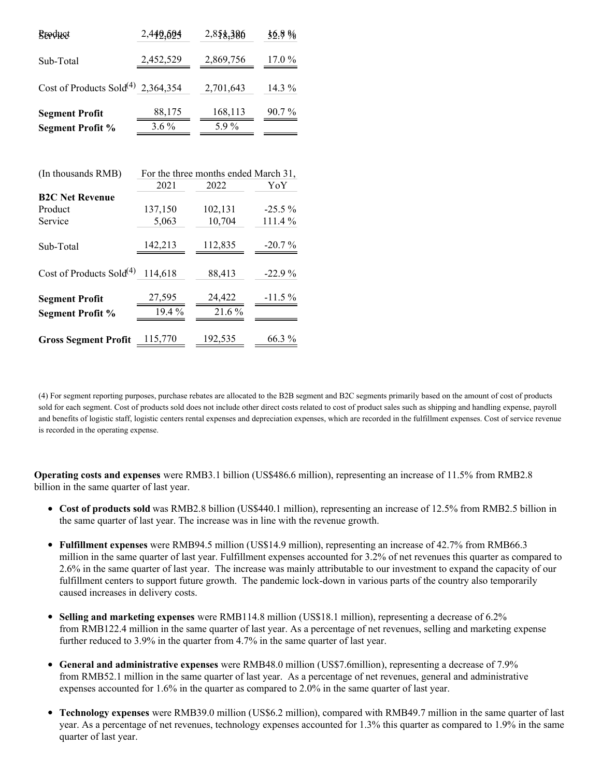| Beoduct                                        | 2,449,604 | 2,858,386                            | \$Q.8 %   |
|------------------------------------------------|-----------|--------------------------------------|-----------|
| Sub-Total                                      | 2,452,529 | 2,869,756                            | 17.0 %    |
| Cost of Products Sold <sup>(4)</sup> 2,364,354 |           | 2,701,643                            | 14.3 %    |
| <b>Segment Profit</b>                          | 88,175    | 168,113                              | $90.7\%$  |
| <b>Segment Profit %</b>                        | $3.6\%$   | 5.9%                                 |           |
|                                                |           |                                      |           |
| (In thousands RMB)                             |           | For the three months ended March 31, |           |
|                                                | 2021      | 2022                                 | YoY       |
| <b>B2C Net Revenue</b>                         |           |                                      |           |
| Product                                        | 137,150   | 102,131                              | $-25.5\%$ |
| Service                                        | 5,063     | 10,704                               | 111.4 %   |
| Sub-Total                                      | 142,213   | 112,835                              | $-20.7\%$ |
| Cost of Products Sold <sup>(4)</sup>           | 114,618   | 88,413                               | $-22.9%$  |
| <b>Segment Profit</b>                          | 27,595    | 24,422                               | $-11.5\%$ |
| <b>Segment Profit %</b>                        | 19.4 %    | 21.6 %                               |           |
| <b>Gross Segment Profit</b>                    | 115,770   | 192,535                              | 66.3%     |

(4) For segment reporting purposes, purchase rebates are allocated to the B2B segment and B2C segments primarily based on the amount of cost of products sold for each segment. Cost of products sold does not include other direct costs related to cost of product sales such as shipping and handling expense, payroll and benefits of logistic staff, logistic centers rental expenses and depreciation expenses, which are recorded in the fulfillment expenses. Cost of service revenue is recorded in the operating expense.

**Operating costs and expenses** were RMB3.1 billion (US\$486.6 million), representing an increase of 11.5% from RMB2.8 billion in the same quarter of last year.

- **Cost of products sold** was RMB2.8 billion (US\$440.1 million), representing an increase of 12.5% from RMB2.5 billion in the same quarter of last year. The increase was in line with the revenue growth.
- **Fulfillment expenses** were RMB94.5 million (US\$14.9 million), representing an increase of 42.7% from RMB66.3 million in the same quarter of last year. Fulfillment expenses accounted for 3.2% of net revenues this quarter as compared to 2.6% in the same quarter of last year. The increase was mainly attributable to our investment to expand the capacity of our fulfillment centers to support future growth. The pandemic lock-down in various parts of the country also temporarily caused increases in delivery costs.
- **Selling and marketing expenses** were RMB114.8 million (US\$18.1 million), representing a decrease of 6.2% from RMB122.4 million in the same quarter of last year. As a percentage of net revenues, selling and marketing expense further reduced to 3.9% in the quarter from 4.7% in the same quarter of last year.
- **General and administrative expenses** were RMB48.0 million (US\$7.6million), representing a decrease of 7.9% from RMB52.1 million in the same quarter of last year. As a percentage of net revenues, general and administrative expenses accounted for 1.6% in the quarter as compared to 2.0% in the same quarter of last year.
- **Technology expenses** were RMB39.0 million (US\$6.2 million), compared with RMB49.7 million in the same quarter of last year. As a percentage of net revenues, technology expenses accounted for 1.3% this quarter as compared to 1.9% in the same quarter of last year.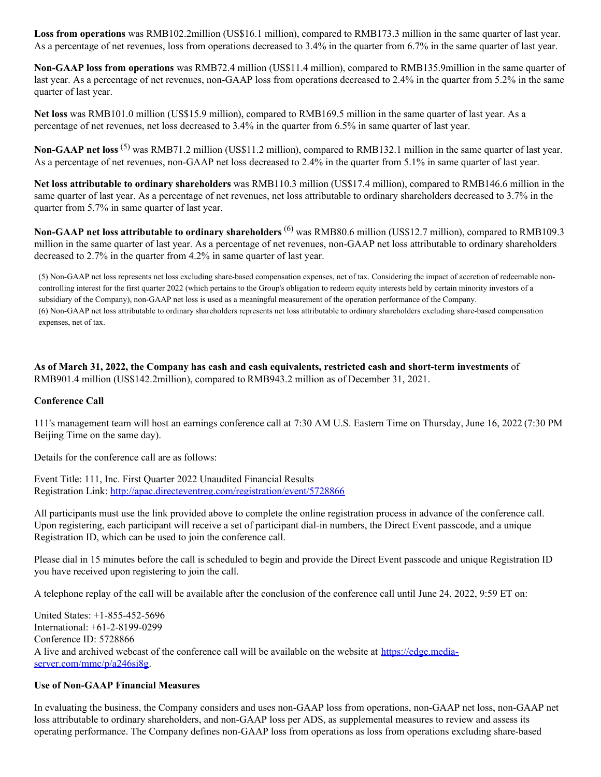**Loss from operations** was RMB102.2million (US\$16.1 million), compared to RMB173.3 million in the same quarter of last year. As a percentage of net revenues, loss from operations decreased to 3.4% in the quarter from 6.7% in the same quarter of last year.

**Non-GAAP loss from operations** was RMB72.4 million (US\$11.4 million), compared to RMB135.9million in the same quarter of last year. As a percentage of net revenues, non-GAAP loss from operations decreased to 2.4% in the quarter from 5.2% in the same quarter of last year.

**Net loss** was RMB101.0 million (US\$15.9 million), compared to RMB169.5 million in the same quarter of last year. As a percentage of net revenues, net loss decreased to 3.4% in the quarter from 6.5% in same quarter of last year.

**Non-GAAP net loss** (5) was RMB71.2 million (US\$11.2 million), compared to RMB132.1 million in the same quarter of last year. As a percentage of net revenues, non-GAAP net loss decreased to 2.4% in the quarter from 5.1% in same quarter of last year.

**Net loss attributable to ordinary shareholders** was RMB110.3 million (US\$17.4 million), compared to RMB146.6 million in the same quarter of last year. As a percentage of net revenues, net loss attributable to ordinary shareholders decreased to 3.7% in the quarter from 5.7% in same quarter of last year.

**Non-GAAP net loss attributable to ordinary shareholders** (6) was RMB80.6 million (US\$12.7 million), compared to RMB109.3 million in the same quarter of last year. As a percentage of net revenues, non-GAAP net loss attributable to ordinary shareholders decreased to 2.7% in the quarter from 4.2% in same quarter of last year.

(5) Non-GAAP net loss represents net loss excluding share-based compensation expenses, net of tax. Considering the impact of accretion of redeemable noncontrolling interest for the first quarter 2022 (which pertains to the Group's obligation to redeem equity interests held by certain minority investors of a subsidiary of the Company), non-GAAP net loss is used as a meaningful measurement of the operation performance of the Company. (6) Non-GAAP net loss attributable to ordinary shareholders represents net loss attributable to ordinary shareholders excluding share-based compensation expenses, net of tax.

As of March 31, 2022, the Company has cash and cash equivalents, restricted cash and short-term investments of RMB901.4 million (US\$142.2million), compared to RMB943.2 million as of December 31, 2021.

# **Conference Call**

111's management team will host an earnings conference call at 7:30 AM U.S. Eastern Time on Thursday, June 16, 2022 (7:30 PM Beijing Time on the same day).

Details for the conference call are as follows:

Event Title: 111, Inc. First Quarter 2022 Unaudited Financial Results Registration Link: <http://apac.directeventreg.com/registration/event/5728866>

All participants must use the link provided above to complete the online registration process in advance of the conference call. Upon registering, each participant will receive a set of participant dial-in numbers, the Direct Event passcode, and a unique Registration ID, which can be used to join the conference call.

Please dial in 15 minutes before the call is scheduled to begin and provide the Direct Event passcode and unique Registration ID you have received upon registering to join the call.

A telephone replay of the call will be available after the conclusion of the conference call until June 24, 2022, 9:59 ET on:

United States: +1-855-452-5696 International: +61-2-8199-0299 Conference ID: 5728866 A live and archived webcast of the conference call will be available on the website at https://edge.media[server.com/mmc/p/a246si8g.](https://edge.media-server.com/mmc/p/a246si8g)

### **Use of Non-GAAP Financial Measures**

In evaluating the business, the Company considers and uses non-GAAP loss from operations, non-GAAP net loss, non-GAAP net loss attributable to ordinary shareholders, and non-GAAP loss per ADS, as supplemental measures to review and assess its operating performance. The Company defines non-GAAP loss from operations as loss from operations excluding share-based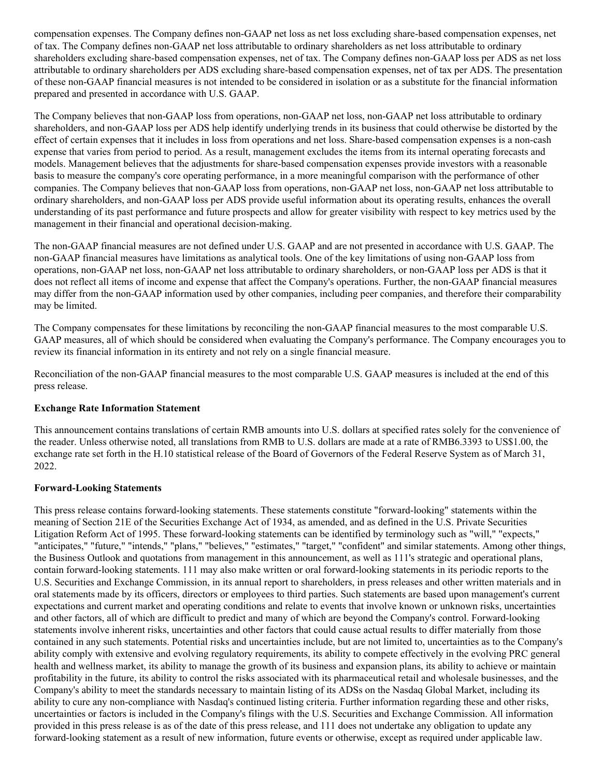compensation expenses. The Company defines non-GAAP net loss as net loss excluding share-based compensation expenses, net of tax. The Company defines non-GAAP net loss attributable to ordinary shareholders as net loss attributable to ordinary shareholders excluding share-based compensation expenses, net of tax. The Company defines non-GAAP loss per ADS as net loss attributable to ordinary shareholders per ADS excluding share-based compensation expenses, net of tax per ADS. The presentation of these non-GAAP financial measures is not intended to be considered in isolation or as a substitute for the financial information prepared and presented in accordance with U.S. GAAP.

The Company believes that non-GAAP loss from operations, non-GAAP net loss, non-GAAP net loss attributable to ordinary shareholders, and non-GAAP loss per ADS help identify underlying trends in its business that could otherwise be distorted by the effect of certain expenses that it includes in loss from operations and net loss. Share-based compensation expenses is a non-cash expense that varies from period to period. As a result, management excludes the items from its internal operating forecasts and models. Management believes that the adjustments for share-based compensation expenses provide investors with a reasonable basis to measure the company's core operating performance, in a more meaningful comparison with the performance of other companies. The Company believes that non-GAAP loss from operations, non-GAAP net loss, non-GAAP net loss attributable to ordinary shareholders, and non-GAAP loss per ADS provide useful information about its operating results, enhances the overall understanding of its past performance and future prospects and allow for greater visibility with respect to key metrics used by the management in their financial and operational decision-making.

The non-GAAP financial measures are not defined under U.S. GAAP and are not presented in accordance with U.S. GAAP. The non-GAAP financial measures have limitations as analytical tools. One of the key limitations of using non-GAAP loss from operations, non-GAAP net loss, non-GAAP net loss attributable to ordinary shareholders, or non-GAAP loss per ADS is that it does not reflect all items of income and expense that affect the Company's operations. Further, the non-GAAP financial measures may differ from the non-GAAP information used by other companies, including peer companies, and therefore their comparability may be limited.

The Company compensates for these limitations by reconciling the non-GAAP financial measures to the most comparable U.S. GAAP measures, all of which should be considered when evaluating the Company's performance. The Company encourages you to review its financial information in its entirety and not rely on a single financial measure.

Reconciliation of the non-GAAP financial measures to the most comparable U.S. GAAP measures is included at the end of this press release.

#### **Exchange Rate Information Statement**

This announcement contains translations of certain RMB amounts into U.S. dollars at specified rates solely for the convenience of the reader. Unless otherwise noted, all translations from RMB to U.S. dollars are made at a rate of RMB6.3393 to US\$1.00, the exchange rate set forth in the H.10 statistical release of the Board of Governors of the Federal Reserve System as of March 31, 2022.

#### **Forward-Looking Statements**

This press release contains forward-looking statements. These statements constitute "forward-looking" statements within the meaning of Section 21E of the Securities Exchange Act of 1934, as amended, and as defined in the U.S. Private Securities Litigation Reform Act of 1995. These forward-looking statements can be identified by terminology such as "will," "expects," "anticipates," "future," "intends," "plans," "believes," "estimates," "target," "confident" and similar statements. Among other things, the Business Outlook and quotations from management in this announcement, as well as 111's strategic and operational plans, contain forward-looking statements. 111 may also make written or oral forward-looking statements in its periodic reports to the U.S. Securities and Exchange Commission, in its annual report to shareholders, in press releases and other written materials and in oral statements made by its officers, directors or employees to third parties. Such statements are based upon management's current expectations and current market and operating conditions and relate to events that involve known or unknown risks, uncertainties and other factors, all of which are difficult to predict and many of which are beyond the Company's control. Forward-looking statements involve inherent risks, uncertainties and other factors that could cause actual results to differ materially from those contained in any such statements. Potential risks and uncertainties include, but are not limited to, uncertainties as to the Company's ability comply with extensive and evolving regulatory requirements, its ability to compete effectively in the evolving PRC general health and wellness market, its ability to manage the growth of its business and expansion plans, its ability to achieve or maintain profitability in the future, its ability to control the risks associated with its pharmaceutical retail and wholesale businesses, and the Company's ability to meet the standards necessary to maintain listing of its ADSs on the Nasdaq Global Market, including its ability to cure any non-compliance with Nasdaq's continued listing criteria. Further information regarding these and other risks, uncertainties or factors is included in the Company's filings with the U.S. Securities and Exchange Commission. All information provided in this press release is as of the date of this press release, and 111 does not undertake any obligation to update any forward-looking statement as a result of new information, future events or otherwise, except as required under applicable law.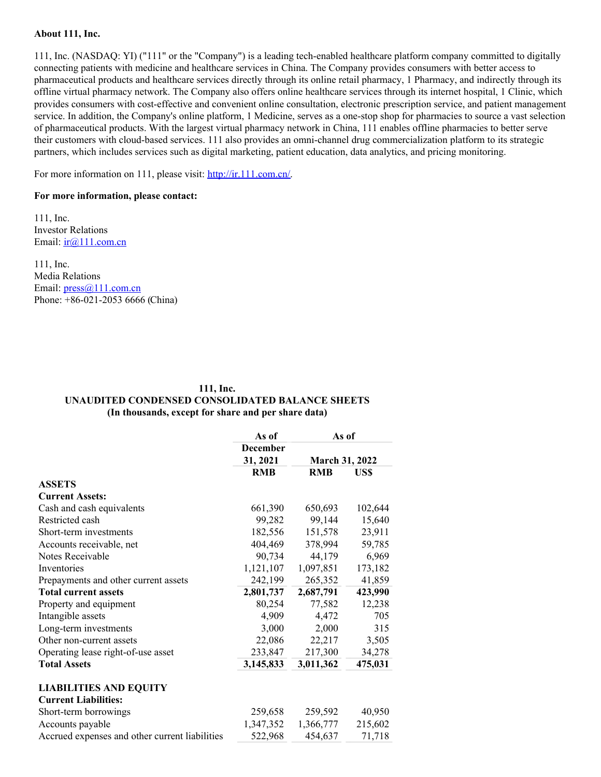#### **About 111, Inc.**

111, Inc. (NASDAQ: YI) ("111" or the "Company") is a leading tech-enabled healthcare platform company committed to digitally connecting patients with medicine and healthcare services in China. The Company provides consumers with better access to pharmaceutical products and healthcare services directly through its online retail pharmacy, 1 Pharmacy, and indirectly through its offline virtual pharmacy network. The Company also offers online healthcare services through its internet hospital, 1 Clinic, which provides consumers with cost-effective and convenient online consultation, electronic prescription service, and patient management service. In addition, the Company's online platform, 1 Medicine, serves as a one-stop shop for pharmacies to source a vast selection of pharmaceutical products. With the largest virtual pharmacy network in China, 111 enables offline pharmacies to better serve their customers with cloud-based services. 111 also provides an omni-channel drug commercialization platform to its strategic partners, which includes services such as digital marketing, patient education, data analytics, and pricing monitoring.

For more information on 111, please visit: <http://ir.111.com.cn/>.

#### **For more information, please contact:**

111, Inc. Investor Relations Email:  $ir@111.com cn$ 

111, Inc. Media Relations Email: [press@111.com.cn](mailto:press@111.com.cn) Phone: +86-021-2053 6666 (China)

| 111, Inc.                                           |
|-----------------------------------------------------|
| UNAUDITED CONDENSED CONSOLIDATED BALANCE SHEETS     |
| (In thousands, except for share and per share data) |

|                                                | As of           | As of                 |         |
|------------------------------------------------|-----------------|-----------------------|---------|
|                                                | <b>December</b> |                       |         |
|                                                | 31, 2021        | <b>March 31, 2022</b> |         |
|                                                | <b>RMB</b>      | <b>RMB</b>            | US\$    |
| <b>ASSETS</b>                                  |                 |                       |         |
| <b>Current Assets:</b>                         |                 |                       |         |
| Cash and cash equivalents                      | 661,390         | 650,693               | 102,644 |
| Restricted cash                                | 99,282          | 99,144                | 15,640  |
| Short-term investments                         | 182,556         | 151,578               | 23,911  |
| Accounts receivable, net                       | 404,469         | 378,994               | 59,785  |
| Notes Receivable                               | 90,734          | 44,179                | 6,969   |
| Inventories                                    | 1,121,107       | 1,097,851             | 173,182 |
| Prepayments and other current assets           | 242,199         | 265,352               | 41,859  |
| <b>Total current assets</b>                    | 2,801,737       | 2,687,791             | 423,990 |
| Property and equipment                         | 80,254          | 77,582                | 12,238  |
| Intangible assets                              | 4,909           | 4,472                 | 705     |
| Long-term investments                          | 3,000           | 2,000                 | 315     |
| Other non-current assets                       | 22,086          | 22,217                | 3,505   |
| Operating lease right-of-use asset             | 233,847         | 217,300               | 34,278  |
| <b>Total Assets</b>                            | 3,145,833       | 3,011,362             | 475,031 |
| <b>LIABILITIES AND EQUITY</b>                  |                 |                       |         |
| <b>Current Liabilities:</b>                    |                 |                       |         |
| Short-term borrowings                          | 259,658         | 259,592               | 40,950  |
| Accounts payable                               | 1,347,352       | 1,366,777             | 215,602 |
| Accrued expenses and other current liabilities | 522,968         | 454,637               | 71,718  |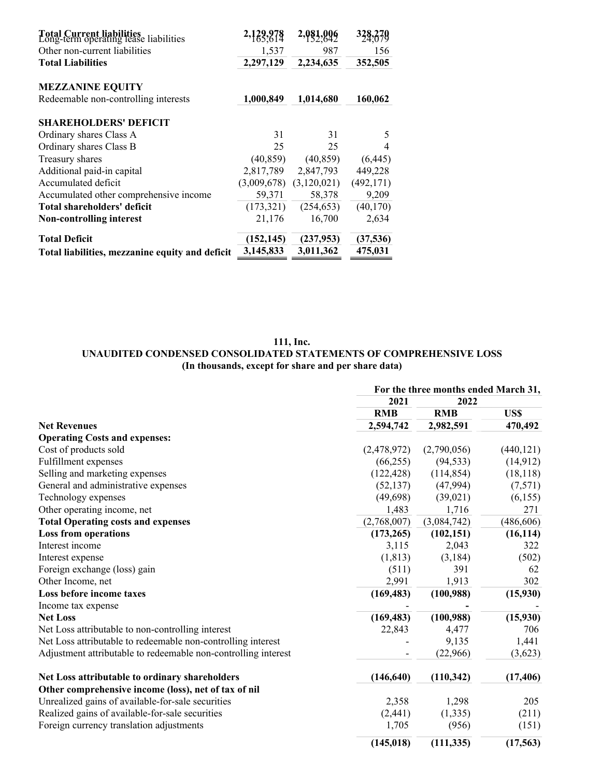| <b>Total Current liabilities</b><br>Long-term operating lease liabilities | 2,129,978   | 2,981,996   |            |
|---------------------------------------------------------------------------|-------------|-------------|------------|
| Other non-current liabilities                                             | 1,537       | 987         | 156        |
| <b>Total Liabilities</b>                                                  | 2,297,129   | 2,234,635   | 352,505    |
| <b>MEZZANINE EQUITY</b>                                                   |             |             |            |
| Redeemable non-controlling interests                                      | 1,000,849   | 1,014,680   | 160,062    |
| <b>SHAREHOLDERS' DEFICIT</b>                                              |             |             |            |
| Ordinary shares Class A                                                   | 31          | 31          | 5          |
| Ordinary shares Class B                                                   | 25          | 25          | 4          |
| Treasury shares                                                           | (40, 859)   | (40, 859)   | (6, 445)   |
| Additional paid-in capital                                                | 2,817,789   | 2,847,793   | 449,228    |
| Accumulated deficit                                                       | (3,009,678) | (3,120,021) | (492, 171) |
| Accumulated other comprehensive income                                    | 59,371      | 58,378      | 9,209      |
| Total shareholders' deficit                                               | (173,321)   | (254, 653)  | (40, 170)  |
| Non-controlling interest                                                  | 21,176      | 16,700      | 2,634      |
| <b>Total Deficit</b>                                                      | (152, 145)  | (237,953)   | (37,536)   |
| Total liabilities, mezzanine equity and deficit                           | 3,145,833   | 3,011,362   | 475,031    |

# **111, Inc. UNAUDITED CONDENSED CONSOLIDATED STATEMENTS OF COMPREHENSIVE LOSS (In thousands, except for share and per share data)**

|                                                                | For the three months ended March 31, |             |            |
|----------------------------------------------------------------|--------------------------------------|-------------|------------|
|                                                                | 2021                                 | 2022        |            |
|                                                                | <b>RMB</b>                           | <b>RMB</b>  | US\$       |
| <b>Net Revenues</b>                                            | 2,594,742                            | 2,982,591   | 470,492    |
| <b>Operating Costs and expenses:</b>                           |                                      |             |            |
| Cost of products sold                                          | (2,478,972)                          | (2,790,056) | (440, 121) |
| Fulfillment expenses                                           | (66, 255)                            | (94, 533)   | (14, 912)  |
| Selling and marketing expenses                                 | (122, 428)                           | (114, 854)  | (18, 118)  |
| General and administrative expenses                            | (52, 137)                            | (47,994)    | (7,571)    |
| Technology expenses                                            | (49, 698)                            | (39,021)    | (6,155)    |
| Other operating income, net                                    | 1,483                                | 1,716       | 271        |
| <b>Total Operating costs and expenses</b>                      | (2,768,007)                          | (3,084,742) | (486, 606) |
| <b>Loss from operations</b>                                    | (173, 265)                           | (102, 151)  | (16, 114)  |
| Interest income                                                | 3,115                                | 2,043       | 322        |
| Interest expense                                               | (1, 813)                             | (3, 184)    | (502)      |
| Foreign exchange (loss) gain                                   | (511)                                | 391         | 62         |
| Other Income, net                                              | 2,991                                | 1,913       | 302        |
| Loss before income taxes                                       | (169, 483)                           | (100, 988)  | (15,930)   |
| Income tax expense                                             |                                      |             |            |
| <b>Net Loss</b>                                                | (169, 483)                           | (100, 988)  | (15,930)   |
| Net Loss attributable to non-controlling interest              | 22,843                               | 4,477       | 706        |
| Net Loss attributable to redeemable non-controlling interest   |                                      | 9,135       | 1,441      |
| Adjustment attributable to redeemable non-controlling interest |                                      | (22,966)    | (3,623)    |
| Net Loss attributable to ordinary shareholders                 | (146, 640)                           | (110, 342)  | (17, 406)  |
| Other comprehensive income (loss), net of tax of nil           |                                      |             |            |
| Unrealized gains of available-for-sale securities              | 2,358                                | 1,298       | 205        |
| Realized gains of available-for-sale securities                | (2,441)                              | (1, 335)    | (211)      |
| Foreign currency translation adjustments                       | 1,705                                | (956)       | (151)      |
|                                                                | (145, 018)                           | (111, 335)  | (17, 563)  |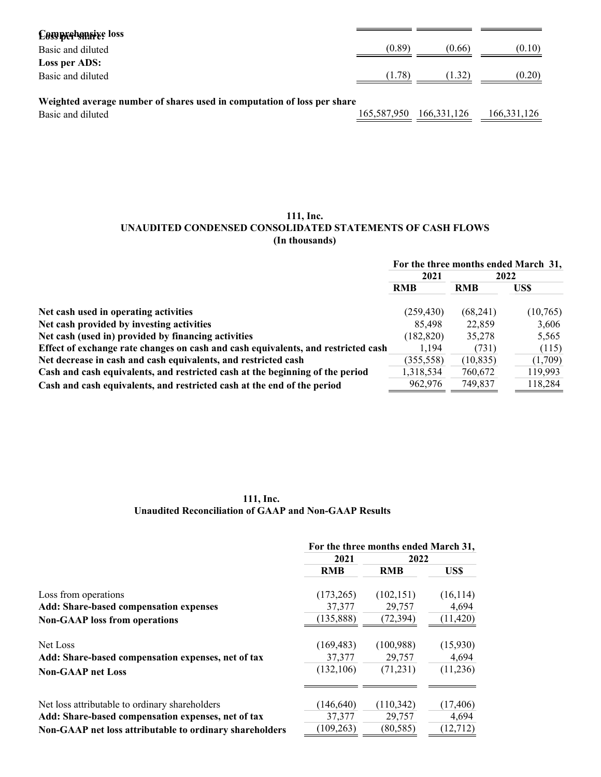| <b>Essaprehensive loss</b>                                              |             |               |               |
|-------------------------------------------------------------------------|-------------|---------------|---------------|
| Basic and diluted                                                       | (0.89)      | (0.66)        | (0.10)        |
| Loss per ADS:                                                           |             |               |               |
| Basic and diluted                                                       | (1.78)      | (1.32)        | (0.20)        |
| Weighted average number of shares used in computation of loss per share | 165,587,950 | 166, 331, 126 | 166, 331, 126 |
| Basic and diluted                                                       |             |               |               |

### **111, Inc. UNAUDITED CONDENSED CONSOLIDATED STATEMENTS OF CASH FLOWS (In thousands)**

|                                                                                   | For the three months ended March 31, |            |          |
|-----------------------------------------------------------------------------------|--------------------------------------|------------|----------|
|                                                                                   | 2021                                 | 2022       |          |
|                                                                                   | <b>RMB</b>                           | <b>RMB</b> | US\$     |
| Net cash used in operating activities                                             | (259, 430)                           | (68,241)   | (10,765) |
| Net cash provided by investing activities                                         | 85,498                               | 22,859     | 3,606    |
| Net cash (used in) provided by financing activities                               | (182, 820)                           | 35,278     | 5,565    |
| Effect of exchange rate changes on cash and cash equivalents, and restricted cash | 1,194                                | (731)      | (115)    |
| Net decrease in cash and cash equivalents, and restricted cash                    | (355, 558)                           | (10, 835)  | (1,709)  |
| Cash and cash equivalents, and restricted cash at the beginning of the period     | 1,318,534                            | 760,672    | 119,993  |
| Cash and cash equivalents, and restricted cash at the end of the period           | 962,976                              | 749,837    | 118,284  |

# **111, Inc. Unaudited Reconciliation of GAAP and Non-GAAP Results**

|                                                         | For the three months ended March 31, |            |           |
|---------------------------------------------------------|--------------------------------------|------------|-----------|
|                                                         | 2021<br>2022                         |            |           |
|                                                         | <b>RMB</b>                           | <b>RMB</b> | US\$      |
| Loss from operations                                    | (173, 265)                           | (102, 151) | (16, 114) |
| <b>Add: Share-based compensation expenses</b>           | 37,377                               | 29,757     | 4,694     |
| <b>Non-GAAP</b> loss from operations                    | (135, 888)                           | (72, 394)  | (11, 420) |
| Net Loss                                                | (169, 483)                           | (100,988)  | (15,930)  |
| Add: Share-based compensation expenses, net of tax      | 37,377                               | 29,757     | 4,694     |
| <b>Non-GAAP net Loss</b>                                | (132, 106)                           | (71, 231)  | (11,236)  |
|                                                         |                                      |            |           |
| Net loss attributable to ordinary shareholders          | (146, 640)                           | (110, 342) | (17, 406) |
| Add: Share-based compensation expenses, net of tax      | 37,377                               | 29,757     | 4,694     |
| Non-GAAP net loss attributable to ordinary shareholders | (109, 263)                           | (80, 585)  | (12, 712) |